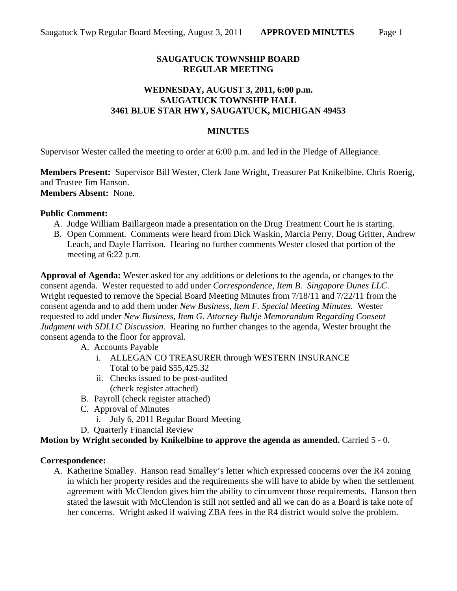# **SAUGATUCK TOWNSHIP BOARD REGULAR MEETING**

## **WEDNESDAY, AUGUST 3, 2011, 6:00 p.m. SAUGATUCK TOWNSHIP HALL 3461 BLUE STAR HWY, SAUGATUCK, MICHIGAN 49453**

#### **MINUTES**

Supervisor Wester called the meeting to order at 6:00 p.m. and led in the Pledge of Allegiance.

**Members Present:** Supervisor Bill Wester, Clerk Jane Wright, Treasurer Pat Knikelbine, Chris Roerig, and Trustee Jim Hanson. **Members Absent:** None.

#### **Public Comment:**

- A. Judge William Baillargeon made a presentation on the Drug Treatment Court he is starting.
- B. Open Comment. Comments were heard from Dick Waskin, Marcia Perry, Doug Gritter, Andrew Leach, and Dayle Harrison. Hearing no further comments Wester closed that portion of the meeting at 6:22 p.m.

**Approval of Agenda:** Wester asked for any additions or deletions to the agenda, or changes to the consent agenda. Wester requested to add under *Correspondence, Item B. Singapore Dunes LLC*. Wright requested to remove the Special Board Meeting Minutes from 7/18/11 and 7/22/11 from the consent agenda and to add them under *New Business, Item F. Special Meeting Minutes.* Wester requested to add under *New Business, Item G. Attorney Bultje Memorandum Regarding Consent Judgment with SDLLC Discussion.* Hearing no further changes to the agenda, Wester brought the consent agenda to the floor for approval.

- A. Accounts Payable
	- i. ALLEGAN CO TREASURER through WESTERN INSURANCE Total to be paid \$55,425.32
	- ii. Checks issued to be post-audited (check register attached)
- B. Payroll (check register attached)
- C. Approval of Minutes
	- i. July 6, 2011 Regular Board Meeting
- D. Quarterly Financial Review

#### **Motion by Wright seconded by Knikelbine to approve the agenda as amended.** Carried 5 - 0.

#### **Correspondence:**

A. Katherine Smalley. Hanson read Smalley's letter which expressed concerns over the R4 zoning in which her property resides and the requirements she will have to abide by when the settlement agreement with McClendon gives him the ability to circumvent those requirements. Hanson then stated the lawsuit with McClendon is still not settled and all we can do as a Board is take note of her concerns. Wright asked if waiving ZBA fees in the R4 district would solve the problem.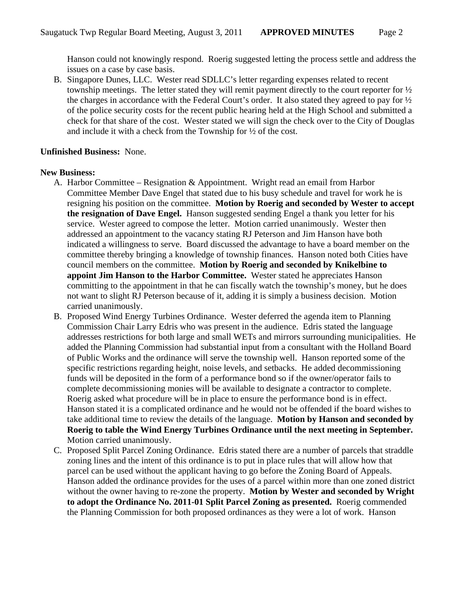Hanson could not knowingly respond. Roerig suggested letting the process settle and address the issues on a case by case basis.

B. Singapore Dunes, LLC. Wester read SDLLC's letter regarding expenses related to recent township meetings. The letter stated they will remit payment directly to the court reporter for ½ the charges in accordance with the Federal Court's order. It also stated they agreed to pay for ½ of the police security costs for the recent public hearing held at the High School and submitted a check for that share of the cost. Wester stated we will sign the check over to the City of Douglas and include it with a check from the Township for ½ of the cost.

### **Unfinished Business:** None.

#### **New Business:**

- A. Harbor Committee Resignation & Appointment. Wright read an email from Harbor Committee Member Dave Engel that stated due to his busy schedule and travel for work he is resigning his position on the committee. **Motion by Roerig and seconded by Wester to accept the resignation of Dave Engel.** Hanson suggested sending Engel a thank you letter for his service. Wester agreed to compose the letter. Motion carried unanimously. Wester then addressed an appointment to the vacancy stating RJ Peterson and Jim Hanson have both indicated a willingness to serve. Board discussed the advantage to have a board member on the committee thereby bringing a knowledge of township finances. Hanson noted both Cities have council members on the committee. **Motion by Roerig and seconded by Knikelbine to appoint Jim Hanson to the Harbor Committee.** Wester stated he appreciates Hanson committing to the appointment in that he can fiscally watch the township's money, but he does not want to slight RJ Peterson because of it, adding it is simply a business decision. Motion carried unanimously.
- B. Proposed Wind Energy Turbines Ordinance. Wester deferred the agenda item to Planning Commission Chair Larry Edris who was present in the audience. Edris stated the language addresses restrictions for both large and small WETs and mirrors surrounding municipalities. He added the Planning Commission had substantial input from a consultant with the Holland Board of Public Works and the ordinance will serve the township well. Hanson reported some of the specific restrictions regarding height, noise levels, and setbacks. He added decommissioning funds will be deposited in the form of a performance bond so if the owner/operator fails to complete decommissioning monies will be available to designate a contractor to complete. Roerig asked what procedure will be in place to ensure the performance bond is in effect. Hanson stated it is a complicated ordinance and he would not be offended if the board wishes to take additional time to review the details of the language. **Motion by Hanson and seconded by Roerig to table the Wind Energy Turbines Ordinance until the next meeting in September.** Motion carried unanimously.
- C. Proposed Split Parcel Zoning Ordinance. Edris stated there are a number of parcels that straddle zoning lines and the intent of this ordinance is to put in place rules that will allow how that parcel can be used without the applicant having to go before the Zoning Board of Appeals. Hanson added the ordinance provides for the uses of a parcel within more than one zoned district without the owner having to re-zone the property. **Motion by Wester and seconded by Wright to adopt the Ordinance No. 2011-01 Split Parcel Zoning as presented.** Roerig commended the Planning Commission for both proposed ordinances as they were a lot of work. Hanson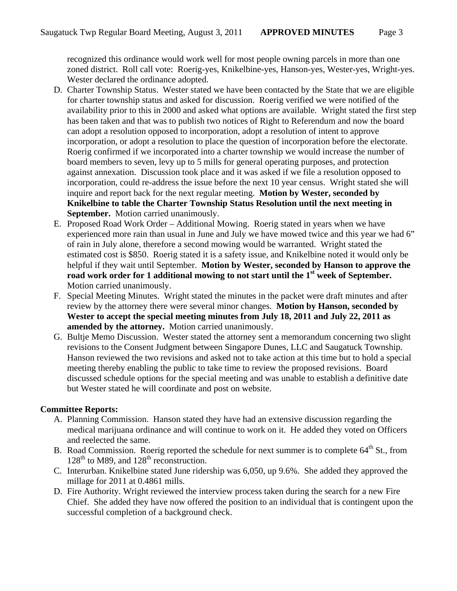recognized this ordinance would work well for most people owning parcels in more than one zoned district. Roll call vote: Roerig-yes, Knikelbine-yes, Hanson-yes, Wester-yes, Wright-yes. Wester declared the ordinance adopted.

- D. Charter Township Status. Wester stated we have been contacted by the State that we are eligible for charter township status and asked for discussion. Roerig verified we were notified of the availability prior to this in 2000 and asked what options are available. Wright stated the first step has been taken and that was to publish two notices of Right to Referendum and now the board can adopt a resolution opposed to incorporation, adopt a resolution of intent to approve incorporation, or adopt a resolution to place the question of incorporation before the electorate. Roerig confirmed if we incorporated into a charter township we would increase the number of board members to seven, levy up to 5 mills for general operating purposes, and protection against annexation. Discussion took place and it was asked if we file a resolution opposed to incorporation, could re-address the issue before the next 10 year census. Wright stated she will inquire and report back for the next regular meeting. **Motion by Wester, seconded by Knikelbine to table the Charter Township Status Resolution until the next meeting in September.** Motion carried unanimously.
- E. Proposed Road Work Order Additional Mowing. Roerig stated in years when we have experienced more rain than usual in June and July we have mowed twice and this year we had 6" of rain in July alone, therefore a second mowing would be warranted. Wright stated the estimated cost is \$850. Roerig stated it is a safety issue, and Knikelbine noted it would only be helpful if they wait until September. **Motion by Wester, seconded by Hanson to approve the road work order for 1 additional mowing to not start until the 1st week of September.**  Motion carried unanimously.
- F. Special Meeting Minutes. Wright stated the minutes in the packet were draft minutes and after review by the attorney there were several minor changes. **Motion by Hanson, seconded by Wester to accept the special meeting minutes from July 18, 2011 and July 22, 2011 as amended by the attorney.** Motion carried unanimously.
- G. Bultje Memo Discussion. Wester stated the attorney sent a memorandum concerning two slight revisions to the Consent Judgment between Singapore Dunes, LLC and Saugatuck Township. Hanson reviewed the two revisions and asked not to take action at this time but to hold a special meeting thereby enabling the public to take time to review the proposed revisions. Board discussed schedule options for the special meeting and was unable to establish a definitive date but Wester stated he will coordinate and post on website.

# **Committee Reports:**

- A. Planning Commission. Hanson stated they have had an extensive discussion regarding the medical marijuana ordinance and will continue to work on it. He added they voted on Officers and reelected the same.
- B. Road Commission. Roerig reported the schedule for next summer is to complete 64<sup>th</sup> St., from  $128<sup>th</sup>$  to M89, and  $128<sup>th</sup>$  reconstruction.
- C. Interurban. Knikelbine stated June ridership was 6,050, up 9.6%. She added they approved the millage for 2011 at 0.4861 mills.
- D. Fire Authority. Wright reviewed the interview process taken during the search for a new Fire Chief. She added they have now offered the position to an individual that is contingent upon the successful completion of a background check.